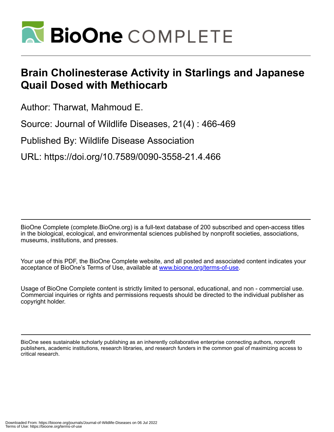

## **Brain Cholinesterase Activity in Starlings and Japanese Quail Dosed with Methiocarb**

Author: Tharwat, Mahmoud E.

Source: Journal of Wildlife Diseases, 21(4) : 466-469

Published By: Wildlife Disease Association

URL: https://doi.org/10.7589/0090-3558-21.4.466

BioOne Complete (complete.BioOne.org) is a full-text database of 200 subscribed and open-access titles in the biological, ecological, and environmental sciences published by nonprofit societies, associations, museums, institutions, and presses.

Your use of this PDF, the BioOne Complete website, and all posted and associated content indicates your acceptance of BioOne's Terms of Use, available at www.bioone.org/terms-of-use.

Usage of BioOne Complete content is strictly limited to personal, educational, and non - commercial use. Commercial inquiries or rights and permissions requests should be directed to the individual publisher as copyright holder.

BioOne sees sustainable scholarly publishing as an inherently collaborative enterprise connecting authors, nonprofit publishers, academic institutions, research libraries, and research funders in the common goal of maximizing access to critical research.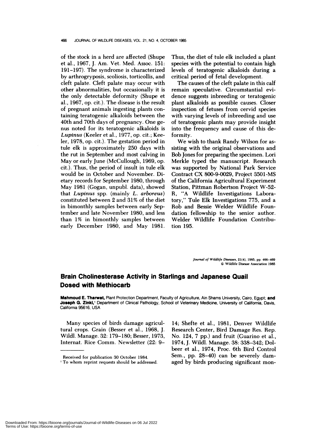## 466 JOURNAL OF WILDLIFE DISEASES, VOL. 21, NO. 4, OCTOBER 1985

of the stock in a herd are affected (Shupe et a!., 1967, J. Am. Vet. Med. Assoc. 151: 191-197). The syndrome is characterized by arthrogryposis, scoliosis, torticollis, and cleft palate. Cleft palate may occur with other abnormalities, but occasionally it is the only detectable deformity (Shupe et a!., 1967, op. cit.). The disease is the result of pregnant animals ingesting plants containing teratogenic alkaloids between the 40th and 70th days of pregnancy. One ge nus noted for its teratogenic alkaloids is Lupinus (Keeler et al., 1977, op. cit.; Keelen, 1978, op. cit.). The gestation period in tule elk is approximately 250 days with the rut in September and most calving in May or early June (McCullough, 1969, op. cit.). Thus, the period of insult in tule elk would be in October and November. Dietary records for September 1980, through May 1981 (Gogan, unpub!. data), showed that *Lupinus* spp. (mainly *L. arboreus)* constituted between 2 and 31% of the diet in bimonthly samples between early September and late November 1980, and less than 1% in bimonthly samples between early December 1980, and May 1981.

Thus, the diet of tule elk included a plant species with the potential to contain high levels of teratogenic alkaloids during a critical period of fetal development.

The causes of the cleft palate in this calf remain speculative. Circumstantial evidence suggests inbreeding or teratogenic plant alkaloids as possible causes. Closer inspection of fetuses from cervid species with varying levels of inbreeding and use of teratogenic plants may provide insight into the frequency and cause of this deformity.

We wish to thank Randy Wilson for as sisting with the original observations and Bob Jones for preparing the specimen. Loni Merkle typed the manuscript. Research was supported by National Park Service Contract CX 800-9-0029, Project 3501-MS of the California Agricultural Experiment Station, Pittman Robertson Project W-52- R, "A Wildlife Investigations Laboratory," Tule Elk Investigations 775, and a Rob and Bessie Welder Wildlife Foundation fellowship to the senior author. Welder Wildlife Foundation Contribution 195.

> *Journal of Wildlife Diseases,* **21(4),** 1985, **pp.** 466-469 © Wildlife Disease Association 1985

## **Brain Cholinesterase Activity in Starlings and Japanese Quail Dosed with Methiocarb**

**Mahmoud E. Tharwat, Plant Protection Department, Faculty of Agriculture, Ain Shams University, Cairo, Egypt; and** Joseph G. Zinkl,<sup>1</sup> Department of Clinical Pathology, School of Veterinary Medicine, University of California, Davis, California 95616, USA

Many species of birds damage agricultural crops. Grain (Besser et al., 1968, J. Wild!. Manage. 32: 179-180; Besser, 1973, Internat. Rice Comm. Newsletter (22: 914; Shefte et al., 1981, Denver Wildlife Research Center, Bird Damage Res. Rep. No. 124, 7 pp.) and fruit (Guarino et al., 1974, J. Wildl. Manage. 38: 338-342; Do! beer et al., 1974, Proc. 6th Bird Control Sem., pp. 28-40) can be severely damaged by birds producing significant mon-

Downloaded From: https://bioone.org/journals/Journal-of-Wildlife-Diseases on 06 Jul 2022 Terms of Use: https://bioone.org/terms-of-use

Received for publication 30 October 1984.

To whom reprint requests should be addressed.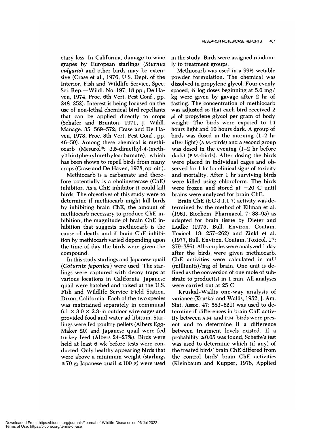etary loss. In California, damage to wine grapes by European starlings *(Sturnus vulgaris*) and other birds may be extensive (Crase et a!., 1976, U.S. Dept. of the Interior, Fish and Wildlife Service, Spec. Sci. Rep-Wild!. No. 197, 18 pp.; De Haven, 1974, Proc. 6th Vent. Pest Conf., pp. 248-252). Interest is being focused on the use of non-lethal chemical bird repellants that can be applied directly to crops (Schafer and Brunton, 1971, J. Wild!. Manage. 35: 569-572; Crase and De Haven, 1978, Proc. 8th Vert. Pest Conf., pp. 46-50). Among these chemical is methiocarb (Mesurol<sup>®</sup>: 3,5-dimethyl-4-(methy!thio)pheny!methy!carbamate), which has been shown to repell birds from many crops (Crase and De Haven, 1978, op. cit.).

Methiocarb is a carbamate and therefore potentially is a cholinesterase (ChE) inhibitor. As a ChE inhibitor it could kill binds. The objectives of this study were to determine if methiocarb might kill birds by inhibiting brain ChE, the amount of methiocarb necessary to produce ChE inhibition, the magnitude of brain ChE inhibition that suggests methiocarb is the cause of death, and if brain ChE inhibition by methiocarb varied depending upon the time of day the birds were given the compound.

In this study starlings and Japanese quail *(Cotunnix japonica)* were used. The starlings were captured with decoy traps at various locations in California. Japanese quail were hatched and raised at the U.S. Fish and Wildlife Service Field Station, Dixon, California. Each of the two species was maintained separately in communal  $6.1 \times 3.0 \times 2.3$ -m outdoor wire cages and provided food and water ad libitum. Starlings were fed poultry pellets (Albers Egg-Maker 20) and Japanese quail were fed turkey feed (Albers 24-27%). Birds were held at least 6 wk before tests were con ducted. Only healthy appearing birds that were above a minimum weight (starlings  $\geq$ 70 g; Japanese quail  $\geq$ 100 g) were used

in the study. Birds were assigned randomly to treatment groups.

Methiocarb was used in a 99% wetable powder formulation. The chemical was dissolved in propylene glycol. Four evenly spaced,  $4$  log doses beginning at 5.6 mg/ kg were given by gavage after 2 hr of fasting. The concentration of methiocarb was adjusted so that each bird received 2 **Ml** of propylene glyco! per gram of body weight. The birds were exposed to 14 hours light and 10 hours dark. A group of birds was dosed in the morning (1-2 hr after light)  $(A.M.-birds)$  and a second group was dosed in the evening (1-2 hr before dark) (P.M-birds). After dosing the birds were placed in individual cages and observed for 1 hr for clinical signs of toxicity and mortality. After 1 hr surviving birds were killed using chloroform. The birds were frozen and stored at  $-20$  C until brains were analyzed for brain ChE.

Brain ChE (EC 3.1.1.7) activity was determined by the method of Ellman et al. (1961, Biochem. Pharmaco!. 7: 88-95) as adapted for brain tissue by Dieter and Ludke (1975, Bull. Environ. Contam. Toxico!. 13: 257-262) and Zink! et a!. (1977, Bull. Environ. Contam. Toxico!. 17: 379-386). All samples were analyzed 1 day after the birds were given methiocarb. ChE activities were calculated in mU  $(milliunits)/mg$  of brain. One unit is defined as the conversion of one mole of substrate to product(s) in  $1$  min. All analyses were carried out at 25 C.

Kruskal-Wallis one-way analysis of variance (Kruskal and Wallis, 1952, J. Am. Stat. Assoc. 47: 583-621) was used to determine if differences in brain ChE activity between **AM.** and **P.M.** birds were present and to determine if a difference between treatment levels existed. If a probability  $\leq 0.05$  was found, Scheffe's test was used to determine which (if any) of the treated birds' brain ChE differed from the control birds' brain ChE activities (Kleinbaum and Kupper, 1978, Applied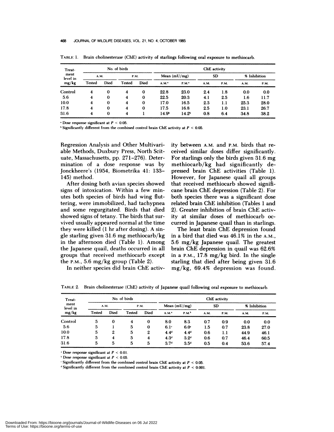| Treat-<br>ment<br>level in<br>mg/kg | No. of birds |          |               |          | ChE activity      |                   |           |             |              |      |
|-------------------------------------|--------------|----------|---------------|----------|-------------------|-------------------|-----------|-------------|--------------|------|
|                                     | A.M.         |          | <b>P.M.</b>   |          | Mean $(mU/mg)$    |                   | <b>SD</b> |             | % Inhibition |      |
|                                     | Tested       | Died     | <b>Tested</b> | Died     | A.M.              | P.M.              | A.M.      | <b>P.M.</b> | A.M.         | P.M. |
| Control                             | 4            | 0        | 4             | $\bf{0}$ | 22.8              | 23.0              | 2.4       | 1.8         | 0.0          | 0.0  |
| 5.6                                 | 4            | 0        | 4             | 0        | 22.5              | 20.3              | 4.1       | 2.5         | 1.6          | 11.7 |
| 10.0                                | 4            | $\bf{0}$ | 4             | $\bf{0}$ | 17.0              | 16.5              | 2.3       | 1.1         | 25.3         | 28.0 |
| 17.8                                | 4            | 0        | 4             | $\bf{0}$ | 17.5              | 16.8              | 2.5       | 1.0         | 23.1         | 26.7 |
| 31.6                                | 4            | $\bf{0}$ | 4             |          | 14.9 <sup>b</sup> | 14.2 <sup>b</sup> | 0.8       | 6.4         | 34.8         | 38.2 |

**TABLE** 1. Brain cholinesterase (ChE) activity of starlings following oral exposure to methiocarb.

 $\cdot$  Dose response significant at  $P < 0.05$ .

Significantly different **from the combined control brain ChE activity at** *P <sup>&</sup>lt;* 0.05.

Regression Analysis and Other Multivariable Methods, Duxbury Press, North Scituate, Massachusetts, pp. 271-276). Determination of a dose response was by Jonckheere's (1954, Biometrika 41: 133-145) method.

After dosing both avian species showed signs of intoxication. Within a few min utes both species of birds had wing fluttering, were immobilized, had tachypnea and some regurgitated. Birds that died showed signs of tetany. The birds that sur vived usually appeared normal at the time they were killed (1 hr after dosing). A single starling given 31.6 mg methiocarb/kg in the afternoon died (Table 1). Among the Japanese quail, deaths occurred in all groups that received methiocanb except the P.M.,  $5.6 \text{ mg/kg}$  group (Table 2).

In neither species did brain ChE activ-

ity between A.M. and P.M. birds that re ceived similar doses differ significantly. For starlings only the birds given 31.6 mg methiocarb/kg had significantly depressed brain ChE activities (Table 1). However, for Japanese quail all groups that received methiocarb showed signifi cane brain ChE depression (Table 2). For both species there was a significant dose related brain ChE inhibition (Tables 1 and 2). Greater inhibition of brain ChE activity at similar doses of methiocarb oc curred in Japanese quail than in starlings.

The least brain ChE depression found in a bird that died was 46.1% in the A.M., 5.6 mg/kg Japanese quail. The greatest brain ChE depression in quail was 62.6% in a P.M., 17.8 mg/kg bird. In the single starling that died after being given 31.6 mg/kg, 69.4% depression was found.

| Treat-<br>ment<br>level in<br>mg/kg | No. of birds |          |        |      | ChE activity        |                   |           |      |      |              |
|-------------------------------------|--------------|----------|--------|------|---------------------|-------------------|-----------|------|------|--------------|
|                                     | A.M.         |          | P.M.   |      | Mean $(mU/mg)$      |                   | <b>SD</b> |      |      | % Inhibition |
|                                     | Tested       | Died     | Tested | Died | $A.M.$ <sup>*</sup> | P.M. <sup>b</sup> | A.M.      | P.M. | A.M. | <b>P.M.</b>  |
| Control                             | 5            | $\bf{0}$ | 4      | 0    | 8.0                 | 8.3               | 0.7       | 0.9  | 0.0  | 0.0          |
| 5.6                                 | 5            |          | 5      | 0    | 6.1 <sup>c</sup>    | 6.0 <sup>c</sup>  | 1.5       | 0.7  | 23.8 | 27.0         |
| 10.0                                | 5            | 2        | 5      | 2    | 4.4 <sup>d</sup>    | 4.4 <sup>d</sup>  | 0.6       | 1.1  | 44.9 | 46.1         |
| 17.8                                | 5            | 4        | 5      | 4    | 4.3 <sup>d</sup>    | 3.2 <sup>c</sup>  | 0.6       | 0.7  | 46.4 | 60.5         |
| 31.6                                | 5            | 5        | 5      | 5    | 3.7 <sup>d</sup>    | 3.5 <sup>d</sup>  | 0.5       | 0.4  | 53.6 | 57.4         |

TABLE 2. Brain cholinesterase (ChE) activity of Japanese quail following oral exposure to methiocarb.

Dose response significant at *P <sup>&</sup>lt;* **0.01.**

 $b$  Dose response significant at  $P < 0.05$ .

 $\sigma$  Significantly different from the combined control brain ChE activity at  $P < 0.05$ .

<sup>d</sup> Significantly different from the combined control brain ChE activity at  $P < 0.001$ .